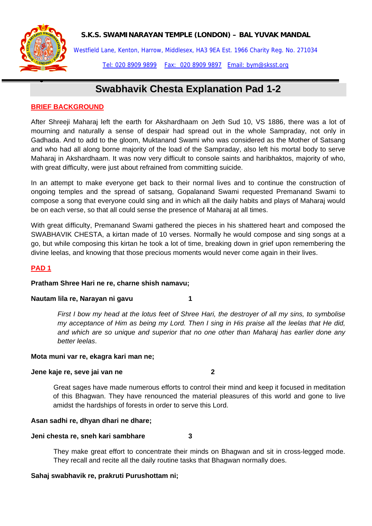

•

# **S.K.S. SWAMINARAYAN TEMPLE (LONDON) – BAL YUVAK MANDAL**

Westfield Lane, Kenton, Harrow, Middlesex, HA3 9EA Est. 1966 Charity Reg. No. 271034 Tel: 020 8909 9899 Fax: 020 8909 9897 Email: bym@sksst.org

# **Swabhavik Chesta Explanation Pad 1-2**

# **BRIEF BACKGROUND**

After Shreeji Maharaj left the earth for Akshardhaam on Jeth Sud 10, VS 1886, there was a lot of mourning and naturally a sense of despair had spread out in the whole Sampraday, not only in Gadhada. And to add to the gloom, Muktanand Swami who was considered as the Mother of Satsang and who had all along borne majority of the load of the Sampraday, also left his mortal body to serve Maharaj in Akshardhaam. It was now very difficult to console saints and haribhaktos, majority of who, with great difficulty, were just about refrained from committing suicide.

In an attempt to make everyone get back to their normal lives and to continue the construction of ongoing temples and the spread of satsang, Gopalanand Swami requested Premanand Swami to compose a song that everyone could sing and in which all the daily habits and plays of Maharaj would be on each verse, so that all could sense the presence of Maharaj at all times.

With great difficulty, Premanand Swami gathered the pieces in his shattered heart and composed the SWABHAVIK CHESTA, a kirtan made of 10 verses. Normally he would compose and sing songs at a go, but while composing this kirtan he took a lot of time, breaking down in grief upon remembering the divine leelas, and knowing that those precious moments would never come again in their lives.

# **PAD 1**

# **Pratham Shree Hari ne re, charne shish namavu;**

# **Nautam lila re, Narayan ni gavu 1**

*First I bow my head at the lotus feet of Shree Hari, the destroyer of all my sins, to symbolise my acceptance of Him as being my Lord. Then I sing in His praise all the leelas that He did, and which are so unique and superior that no one other than Maharaj has earlier done any better leelas*.

# **Mota muni var re, ekagra kari man ne;**

### **Jene kaje re, seve jai van ne 2**

Great sages have made numerous efforts to control their mind and keep it focused in meditation of this Bhagwan. They have renounced the material pleasures of this world and gone to live amidst the hardships of forests in order to serve this Lord.

# **Asan sadhi re, dhyan dhari ne dhare;**

# **Jeni chesta re, sneh kari sambhare 3**

They make great effort to concentrate their minds on Bhagwan and sit in cross-legged mode. They recall and recite all the daily routine tasks that Bhagwan normally does.

# **Sahaj swabhavik re, prakruti Purushottam ni;**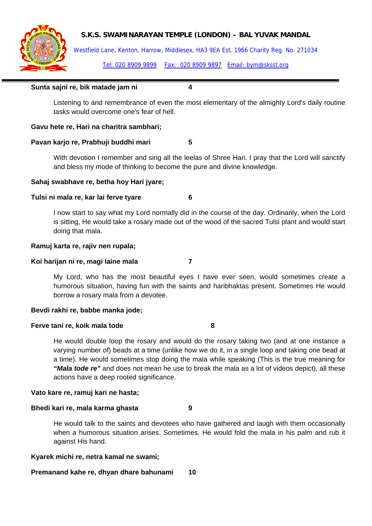# **S.K.S. SWAMINARAYAN TEMPLE (LONDON) – BAL YUVAK MANDAL**



Westfield Lane, Kenton, Harrow, Middlesex, HA3 9EA Est. 1966 Charity Reg. No. 271034 Tel: 020 8909 9899 Fax: 020 8909 9897 Email: bym@sksst.org

### **Sunta sajni re, bik matade jam ni 4**

Listening to and remembrance of even the most elementary of the almighty Lord's daily routine tasks would overcome one's fear of hell.

### **Gavu hete re, Hari na charitra sambhari;**

### **Pavan karjo re, Prabhuji buddhi mari 5**

With devotion I remember and sing all the leelas of Shree Hari. I pray that the Lord will sanctify and bless my mode of thinking to become the pure and divine knowledge.

### **Sahaj swabhave re, betha hoy Hari jyare;**

### **Tulsi ni mala re, kar lai ferve tyare 6**

I now start to say what my Lord normally did in the course of the day. Ordinarily, when the Lord is sitting, He would take a rosary made out of the wood of the sacred Tulsi plant and would start doing that mala.

### **Ramuj karta re, rajiv nen rupala;**

### **Koi harijan ni re, magi laine mala 7**

My Lord, who has the most beautiful eyes I have ever seen, would sometimes create a humorous situation, having fun with the saints and haribhaktas present. Sometimes He would borrow a rosary mala from a devotee.

### **Bevdi rakhi re, babbe manka jode;**

### **Ferve tani re, koik mala tode 8**

He would double loop the rosary and would do the rosary taking two (and at one instance a varying number of) beads at a time (unlike how we do it, in a single loop and taking one bead at a time). He would sometimes stop doing the mala while speaking (This is the true meaning for *"Mala tode re"* and does not mean he use to break the mala as a lot of videos depict), all these actions have a deep rooted significance.

### **Vato kare re, ramuj kari ne hasta;**

### **Bhedi kari re, mala karma ghasta 9**

He would talk to the saints and devotees who have gathered and laugh with them occasionally when a humorous situation arises. Sometimes, He would fold the mala in his palm and rub it against His hand.

### **Kyarek michi re, netra kamal ne swami;**

# **Premanand kahe re, dhyan dhare bahunami 10**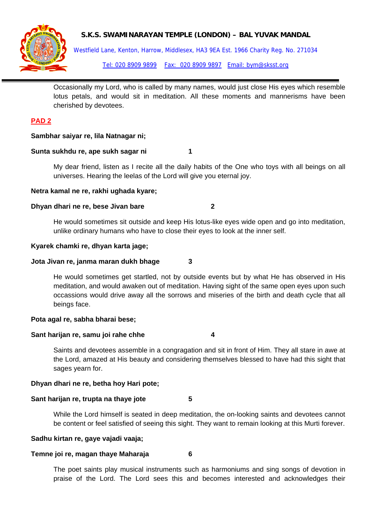

# **S.K.S. SWAMINARAYAN TEMPLE (LONDON) – BAL YUVAK MANDAL**

Westfield Lane, Kenton, Harrow, Middlesex, HA3 9EA Est. 1966 Charity Reg. No. 271034 Tel: 020 8909 9899 Fax: 020 8909 9897 Email: bym@sksst.org

Occasionally my Lord, who is called by many names, would just close His eyes which resemble lotus petals, and would sit in meditation. All these moments and mannerisms have been cherished by devotees.

# **PAD 2**

# **Sambhar saiyar re, lila Natnagar ni;**

### **Sunta sukhdu re, ape sukh sagar ni 1**

My dear friend, listen as I recite all the daily habits of the One who toys with all beings on all universes. Hearing the leelas of the Lord will give you eternal joy.

### **Netra kamal ne re, rakhi ughada kyare;**

# **Dhyan dhari ne re, bese Jivan bare 2**

He would sometimes sit outside and keep His lotus-like eyes wide open and go into meditation, unlike ordinary humans who have to close their eyes to look at the inner self.

### **Kyarek chamki re, dhyan karta jage;**

### **Jota Jivan re, janma maran dukh bhage 3**

He would sometimes get startled, not by outside events but by what He has observed in His meditation, and would awaken out of meditation. Having sight of the same open eyes upon such occassions would drive away all the sorrows and miseries of the birth and death cycle that all beings face.

### **Pota agal re, sabha bharai bese;**

### **Sant harijan re, samu joi rahe chhe 4**

Saints and devotees assemble in a congragation and sit in front of Him. They all stare in awe at the Lord, amazed at His beauty and considering themselves blessed to have had this sight that sages yearn for.

# **Dhyan dhari ne re, betha hoy Hari pote;**

### **Sant harijan re, trupta na thaye jote 5**

While the Lord himself is seated in deep meditation, the on-looking saints and devotees cannot be content or feel satisfied of seeing this sight. They want to remain looking at this Murti forever.

### **Sadhu kirtan re, gaye vajadi vaaja;**

# **Temne joi re, magan thaye Maharaja 6**

The poet saints play musical instruments such as harmoniums and sing songs of devotion in praise of the Lord. The Lord sees this and becomes interested and acknowledges their